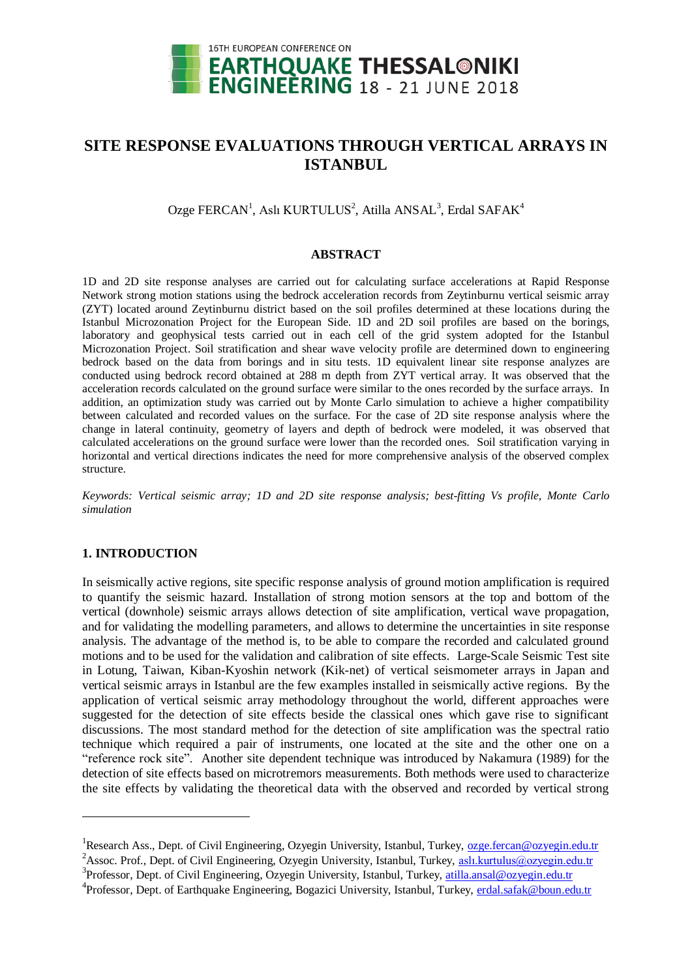

# **SITE RESPONSE EVALUATIONS THROUGH VERTICAL ARRAYS IN ISTANBUL**

Ozge FERCAN<sup>1</sup>, Aslı KURTULUS<sup>2</sup>, Atilla ANSAL<sup>3</sup>, Erdal SAFAK<sup>4</sup>

#### **ABSTRACT**

1D and 2D site response analyses are carried out for calculating surface accelerations at Rapid Response Network strong motion stations using the bedrock acceleration records from Zeytinburnu vertical seismic array (ZYT) located around Zeytinburnu district based on the soil profiles determined at these locations during the Istanbul Microzonation Project for the European Side. 1D and 2D soil profiles are based on the borings, laboratory and geophysical tests carried out in each cell of the grid system adopted for the Istanbul Microzonation Project. Soil stratification and shear wave velocity profile are determined down to engineering bedrock based on the data from borings and in situ tests. 1D equivalent linear site response analyzes are conducted using bedrock record obtained at 288 m depth from ZYT vertical array. It was observed that the acceleration records calculated on the ground surface were similar to the ones recorded by the surface arrays. In addition, an optimization study was carried out by Monte Carlo simulation to achieve a higher compatibility between calculated and recorded values on the surface. For the case of 2D site response analysis where the change in lateral continuity, geometry of layers and depth of bedrock were modeled, it was observed that calculated accelerations on the ground surface were lower than the recorded ones. Soil stratification varying in horizontal and vertical directions indicates the need for more comprehensive analysis of the observed complex structure.

*Keywords: Vertical seismic array; 1D and 2D site response analysis; best-fitting Vs profile, Monte Carlo simulation*

# **1. INTRODUCTION**

In seismically active regions, site specific response analysis of ground motion amplification is required to quantify the seismic hazard. Installation of strong motion sensors at the top and bottom of the vertical (downhole) seismic arrays allows detection of site amplification, vertical wave propagation, and for validating the modelling parameters, and allows to determine the uncertainties in site response analysis. The advantage of the method is, to be able to compare the recorded and calculated ground motions and to be used for the validation and calibration of site effects. Large-Scale Seismic Test site in Lotung, Taiwan, Kiban-Kyoshin network (Kik-net) of vertical seismometer arrays in Japan and vertical seismic arrays in Istanbul are the few examples installed in seismically active regions. By the application of vertical seismic array methodology throughout the world, different approaches were suggested for the detection of site effects beside the classical ones which gave rise to significant discussions. The most standard method for the detection of site amplification was the spectral ratio technique which required a pair of instruments, one located at the site and the other one on a "reference rock site". Another site dependent technique was introduced by Nakamura (1989) for the detection of site effects based on microtremors measurements. Both methods were used to characterize the site effects by validating the theoretical data with the observed and recorded by vertical strong

<sup>&</sup>lt;sup>1</sup>Research Ass., Dept. of Civil Engineering, Ozyegin University, Istanbul, Turkey, [ozge.fercan@ozyegin.edu.tr](mailto:ozge.fercan@ozyegin.edu.tr)

<sup>&</sup>lt;sup>2</sup>Assoc. Prof., Dept. of Civil Engineering, Ozyegin University, Istanbul, Turkey, [aslı.kurtulus@ozyegin.edu.tr](mailto:aslı.kurtulus@ozyegin.edu.tr)

<sup>&</sup>lt;sup>3</sup>Professor, Dept. of Civil Engineering, Ozyegin University, Istanbul, Turkey, [atilla.ansal@ozyegin.edu.tr](mailto:atilla.ansal@ozyegin.edu.tr)

<sup>&</sup>lt;sup>4</sup> Professor, Dept. of Earthquake Engineering, Bogazici University, Istanbul, Turkey, [erdal.safak@boun.edu.tr](mailto:erdal.safak@boun.edu.tr)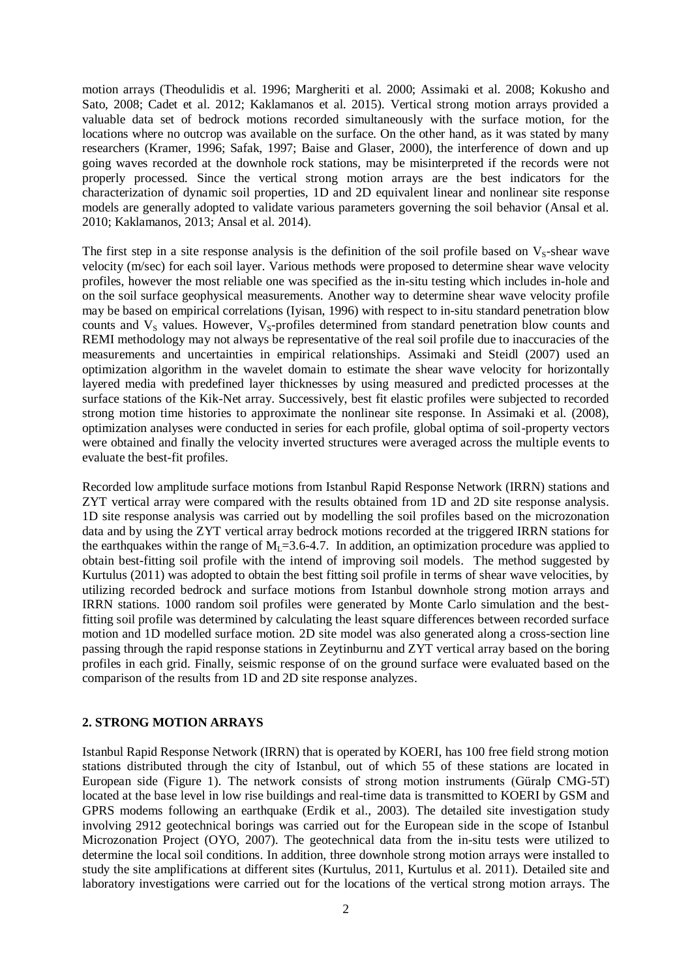motion arrays (Theodulidis et al. 1996; Margheriti et al. 2000; Assimaki et al. 2008; Kokusho and Sato, 2008; Cadet et al. 2012; Kaklamanos et al. 2015). Vertical strong motion arrays provided a valuable data set of bedrock motions recorded simultaneously with the surface motion, for the locations where no outcrop was available on the surface. On the other hand, as it was stated by many researchers (Kramer, 1996; Safak, 1997; Baise and Glaser, 2000), the interference of down and up going waves recorded at the downhole rock stations, may be misinterpreted if the records were not properly processed. Since the vertical strong motion arrays are the best indicators for the characterization of dynamic soil properties, 1D and 2D equivalent linear and nonlinear site response models are generally adopted to validate various parameters governing the soil behavior (Ansal et al. 2010; Kaklamanos, 2013; Ansal et al. 2014).

The first step in a site response analysis is the definition of the soil profile based on  $V_s$ -shear wave velocity (m/sec) for each soil layer. Various methods were proposed to determine shear wave velocity profiles, however the most reliable one was specified as the in-situ testing which includes in-hole and on the soil surface geophysical measurements. Another way to determine shear wave velocity profile may be based on empirical correlations (Iyisan, 1996) with respect to in-situ standard penetration blow counts and  $V_s$  values. However,  $V_s$ -profiles determined from standard penetration blow counts and REMI methodology may not always be representative of the real soil profile due to inaccuracies of the measurements and uncertainties in empirical relationships. Assimaki and Steidl (2007) used an optimization algorithm in the wavelet domain to estimate the shear wave velocity for horizontally layered media with predefined layer thicknesses by using measured and predicted processes at the surface stations of the Kik-Net array. Successively, best fit elastic profiles were subjected to recorded strong motion time histories to approximate the nonlinear site response. In Assimaki et al. (2008), optimization analyses were conducted in series for each profile, global optima of soil-property vectors were obtained and finally the velocity inverted structures were averaged across the multiple events to evaluate the best-fit profiles.

Recorded low amplitude surface motions from Istanbul Rapid Response Network (IRRN) stations and ZYT vertical array were compared with the results obtained from 1D and 2D site response analysis. 1D site response analysis was carried out by modelling the soil profiles based on the microzonation data and by using the ZYT vertical array bedrock motions recorded at the triggered IRRN stations for the earthquakes within the range of  $M_1 = 3.6 - 4.7$ . In addition, an optimization procedure was applied to obtain best-fitting soil profile with the intend of improving soil models. The method suggested by Kurtulus (2011) was adopted to obtain the best fitting soil profile in terms of shear wave velocities, by utilizing recorded bedrock and surface motions from Istanbul downhole strong motion arrays and IRRN stations. 1000 random soil profiles were generated by Monte Carlo simulation and the bestfitting soil profile was determined by calculating the least square differences between recorded surface motion and 1D modelled surface motion. 2D site model was also generated along a cross-section line passing through the rapid response stations in Zeytinburnu and ZYT vertical array based on the boring profiles in each grid. Finally, seismic response of on the ground surface were evaluated based on the comparison of the results from 1D and 2D site response analyzes.

## **2. STRONG MOTION ARRAYS**

Istanbul Rapid Response Network (IRRN) that is operated by KOERI, has 100 free field strong motion stations distributed through the city of Istanbul, out of which 55 of these stations are located in European side (Figure 1). The network consists of strong motion instruments (Güralp CMG-5T) located at the base level in low rise buildings and real-time data is transmitted to KOERI by GSM and GPRS modems following an earthquake (Erdik et al., 2003). The detailed site investigation study involving 2912 geotechnical borings was carried out for the European side in the scope of Istanbul Microzonation Project (OYO, 2007). The geotechnical data from the in-situ tests were utilized to determine the local soil conditions. In addition, three downhole strong motion arrays were installed to study the site amplifications at different sites (Kurtulus, 2011, Kurtulus et al. 2011). Detailed site and laboratory investigations were carried out for the locations of the vertical strong motion arrays. The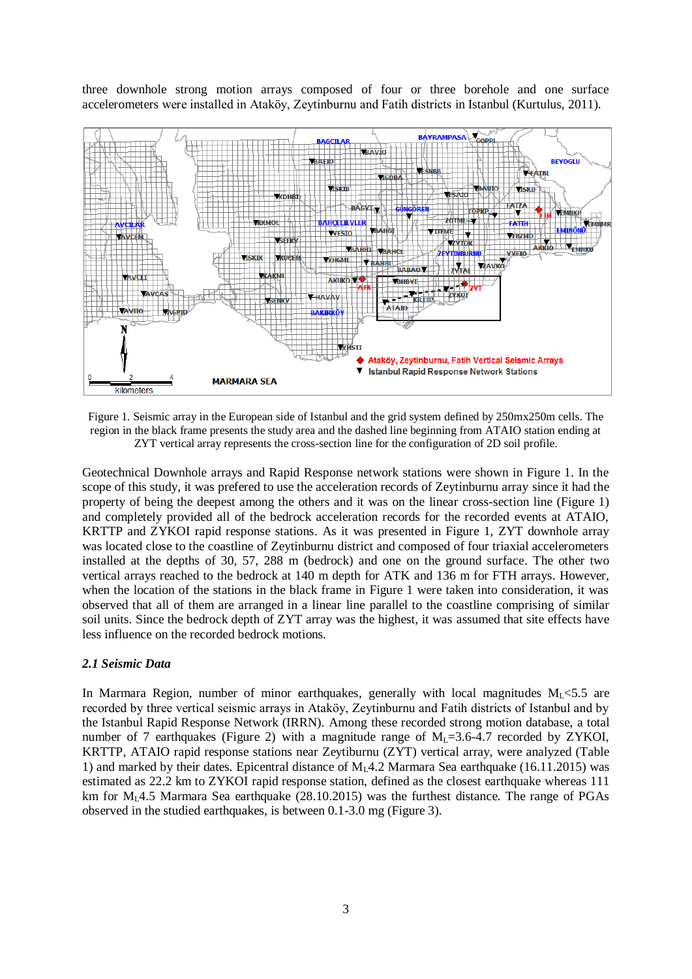three downhole strong motion arrays composed of four or three borehole and one surface accelerometers were installed in Ataköy, Zeytinburnu and Fatih districts in Istanbul (Kurtulus, 2011).



Figure 1. Seismic array in the European side of Istanbul and the grid system defined by 250mx250m cells. The region in the black frame presents the study area and the dashed line beginning from ATAIO station ending at ZYT vertical array represents the cross-section line for the configuration of 2D soil profile.

Geotechnical Downhole arrays and Rapid Response network stations were shown in Figure 1. In the scope of this study, it was prefered to use the acceleration records of Zeytinburnu array since it had the property of being the deepest among the others and it was on the linear cross-section line (Figure 1) and completely provided all of the bedrock acceleration records for the recorded events at ATAIO, KRTTP and ZYKOI rapid response stations. As it was presented in Figure 1, ZYT downhole array was located close to the coastline of Zeytinburnu district and composed of four triaxial accelerometers installed at the depths of 30, 57, 288 m (bedrock) and one on the ground surface. The other two vertical arrays reached to the bedrock at 140 m depth for ATK and 136 m for FTH arrays. However, when the location of the stations in the black frame in Figure 1 were taken into consideration, it was observed that all of them are arranged in a linear line parallel to the coastline comprising of similar soil units. Since the bedrock depth of ZYT array was the highest, it was assumed that site effects have less influence on the recorded bedrock motions.

# *2.1 Seismic Data*

In Marmara Region, number of minor earthquakes, generally with local magnitudes  $M_1 \leq 5.5$  are recorded by three vertical seismic arrays in Ataköy, Zeytinburnu and Fatih districts of Istanbul and by the Istanbul Rapid Response Network (IRRN). Among these recorded strong motion database, a total number of 7 earthquakes (Figure 2) with a magnitude range of  $M_1 = 3.6-4.7$  recorded by ZYKOI, KRTTP, ATAIO rapid response stations near Zeytiburnu (ZYT) vertical array, were analyzed (Table 1) and marked by their dates. Epicentral distance of  $M_14.2$  Marmara Sea earthquake (16.11.2015) was estimated as 22.2 km to ZYKOI rapid response station, defined as the closest earthquake whereas 111 km for  $M_1$ 4.5 Marmara Sea earthquake (28.10.2015) was the furthest distance. The range of PGAs observed in the studied earthquakes, is between 0.1-3.0 mg (Figure 3).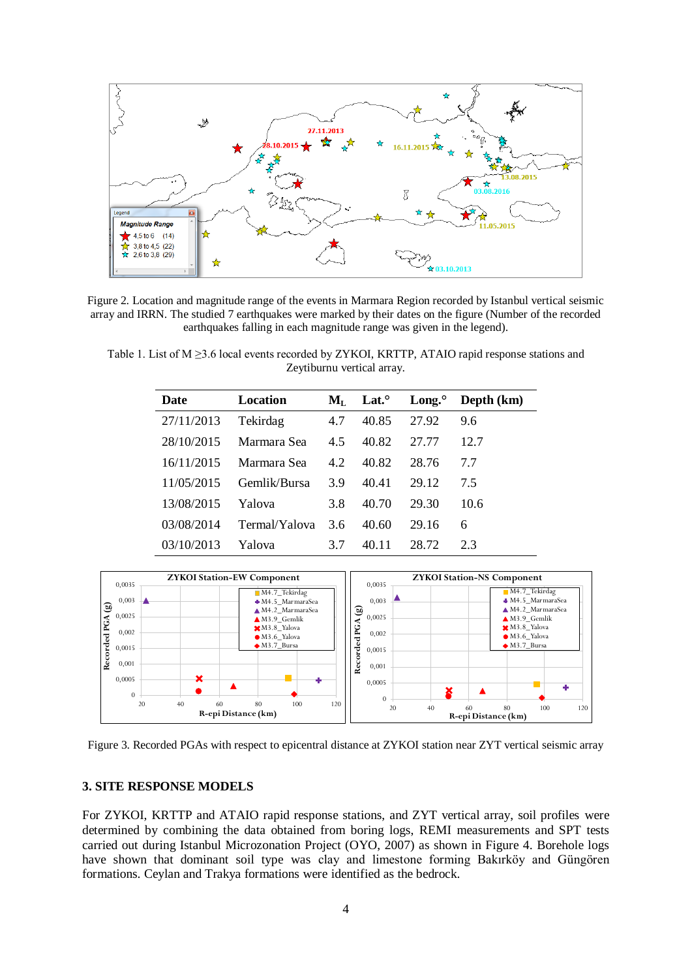

Figure 2. Location and magnitude range of the events in Marmara Region recorded by Istanbul vertical seismic array and IRRN. The studied 7 earthquakes were marked by their dates on the figure (Number of the recorded earthquakes falling in each magnitude range was given in the legend).

Table 1. List of M ≥3.6 local events recorded by ZYKOI, KRTTP, ATAIO rapid response stations and Zeytiburnu vertical array.

| <b>Date</b> | Location      | $\mathbf{M}_{\mathrm{L}}$ | Lat. $\circ$ | Long. $^{\circ}$ | Depth (km) |
|-------------|---------------|---------------------------|--------------|------------------|------------|
| 27/11/2013  | Tekirdag      | 4.7                       | 40.85        | 27.92            | 9.6        |
| 28/10/2015  | Marmara Sea   | 4.5                       | 40.82        | 27.77            | 12.7       |
| 16/11/2015  | Marmara Sea   | 4.2                       | 40.82        | 28.76            | 77         |
| 11/05/2015  | Gemlik/Bursa  | 3.9                       | 40.41        | 29.12            | 75         |
| 13/08/2015  | Yalova        | 3.8                       | 40.70        | 29.30            | 10.6       |
| 03/08/2014  | Termal/Yalova | 3.6                       | 40.60        | 29.16            | 6          |
| 03/10/2013  | Yalova        | 37                        | 40.11        | 28.72            | 23         |
|             |               |                           |              |                  |            |



Figure 3. Recorded PGAs with respect to epicentral distance at ZYKOI station near ZYT vertical seismic array

## **3. SITE RESPONSE MODELS**

For ZYKOI, KRTTP and ATAIO rapid response stations, and ZYT vertical array, soil profiles were determined by combining the data obtained from boring logs, REMI measurements and SPT tests carried out during Istanbul Microzonation Project (OYO, 2007) as shown in Figure 4. Borehole logs have shown that dominant soil type was clay and limestone forming Bakırköy and Güngören formations. Ceylan and Trakya formations were identified as the bedrock.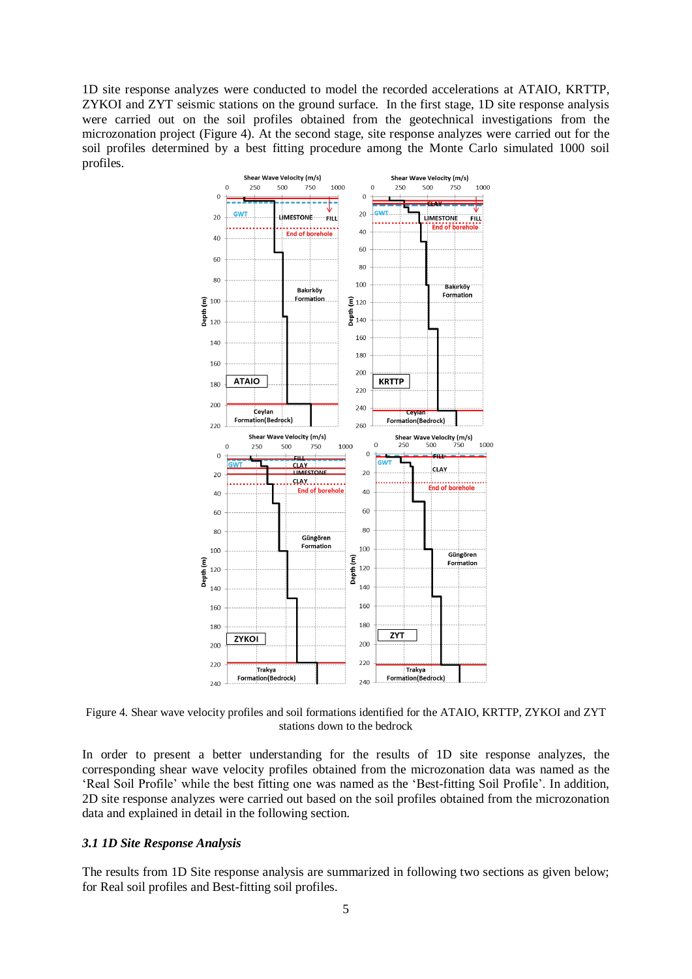1D site response analyzes were conducted to model the recorded accelerations at ATAIO, KRTTP, ZYKOI and ZYT seismic stations on the ground surface. In the first stage, 1D site response analysis were carried out on the soil profiles obtained from the geotechnical investigations from the microzonation project (Figure 4). At the second stage, site response analyzes were carried out for the soil profiles determined by a best fitting procedure among the Monte Carlo simulated 1000 soil profiles.



Figure 4. Shear wave velocity profiles and soil formations identified for the ATAIO, KRTTP, ZYKOI and ZYT stations down to the bedrock

In order to present a better understanding for the results of 1D site response analyzes, the corresponding shear wave velocity profiles obtained from the microzonation data was named as the 'Real Soil Profile' while the best fitting one was named as the 'Best-fitting Soil Profile'. In addition, 2D site response analyzes were carried out based on the soil profiles obtained from the microzonation data and explained in detail in the following section.

## *3.1 1D Site Response Analysis*

The results from 1D Site response analysis are summarized in following two sections as given below; for Real soil profiles and Best-fitting soil profiles.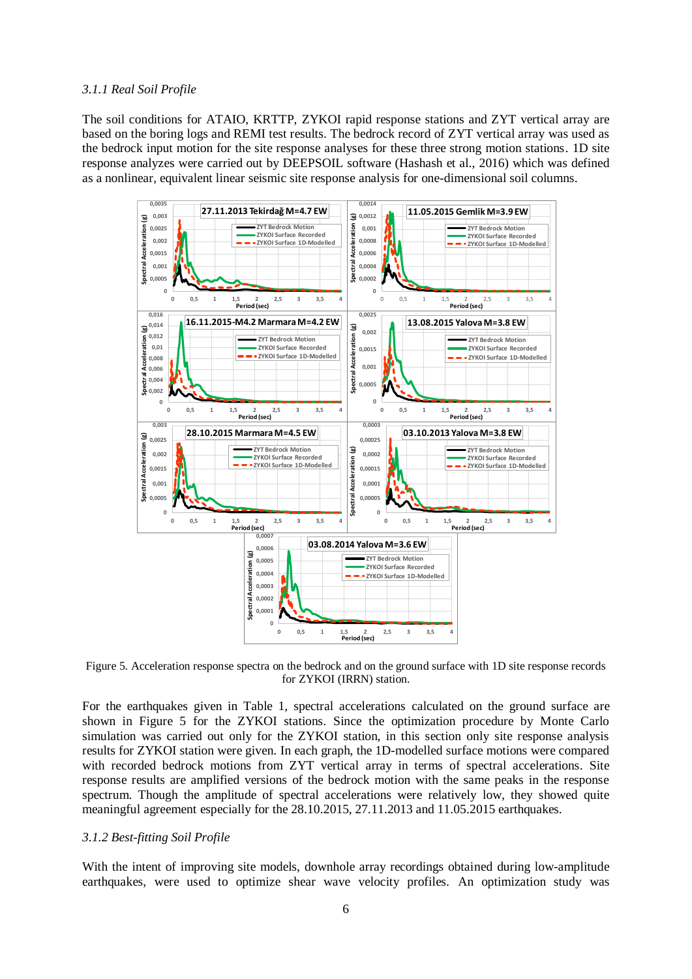## *3.1.1 Real Soil Profile*

The soil conditions for ATAIO, KRTTP, ZYKOI rapid response stations and ZYT vertical array are based on the boring logs and REMI test results. The bedrock record of ZYT vertical array was used as the bedrock input motion for the site response analyses for these three strong motion stations. 1D site response analyzes were carried out by DEEPSOIL software (Hashash et al., 2016) which was defined as a nonlinear, equivalent linear seismic site response analysis for one-dimensional soil columns.



Figure 5. Acceleration response spectra on the bedrock and on the ground surface with 1D site response records for ZYKOI (IRRN) station.

For the earthquakes given in Table 1, spectral accelerations calculated on the ground surface are shown in Figure 5 for the ZYKOI stations. Since the optimization procedure by Monte Carlo simulation was carried out only for the ZYKOI station, in this section only site response analysis results for ZYKOI station were given. In each graph, the 1D-modelled surface motions were compared with recorded bedrock motions from ZYT vertical array in terms of spectral accelerations. Site response results are amplified versions of the bedrock motion with the same peaks in the response spectrum. Though the amplitude of spectral accelerations were relatively low, they showed quite meaningful agreement especially for the 28.10.2015, 27.11.2013 and 11.05.2015 earthquakes.

## *3.1.2 Best-fitting Soil Profile*

With the intent of improving site models, downhole array recordings obtained during low-amplitude earthquakes, were used to optimize shear wave velocity profiles. An optimization study was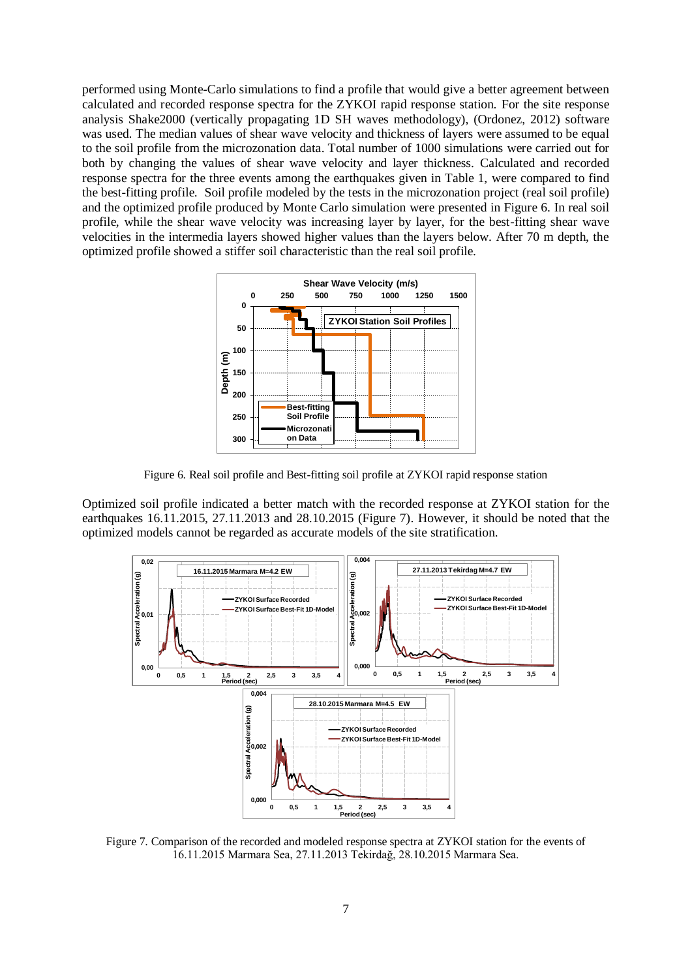performed using Monte-Carlo simulations to find a profile that would give a better agreement between calculated and recorded response spectra for the ZYKOI rapid response station. For the site response analysis Shake2000 (vertically propagating 1D SH waves methodology), (Ordonez, 2012) software was used. The median values of shear wave velocity and thickness of layers were assumed to be equal to the soil profile from the microzonation data. Total number of 1000 simulations were carried out for both by changing the values of shear wave velocity and layer thickness. Calculated and recorded response spectra for the three events among the earthquakes given in Table 1, were compared to find the best-fitting profile. Soil profile modeled by the tests in the microzonation project (real soil profile) and the optimized profile produced by Monte Carlo simulation were presented in Figure 6. In real soil profile, while the shear wave velocity was increasing layer by layer, for the best-fitting shear wave velocities in the intermedia layers showed higher values than the layers below. After 70 m depth, the optimized profile showed a stiffer soil characteristic than the real soil profile.



Figure 6. Real soil profile and Best-fitting soil profile at ZYKOI rapid response station

Optimized soil profile indicated a better match with the recorded response at ZYKOI station for the earthquakes 16.11.2015, 27.11.2013 and 28.10.2015 (Figure 7). However, it should be noted that the optimized models cannot be regarded as accurate models of the site stratification.



Figure 7. Comparison of the recorded and modeled response spectra at ZYKOI station for the events of 16.11.2015 Marmara Sea, 27.11.2013 Tekirdağ, 28.10.2015 Marmara Sea.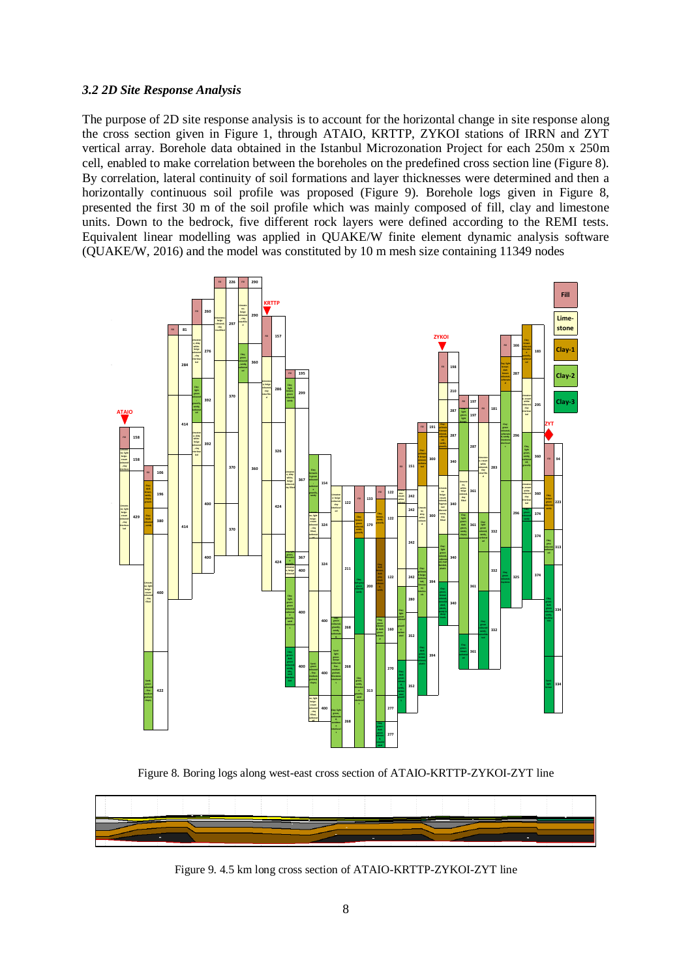## *3.2 2D Site Response Analysis*

The purpose of 2D site response analysis is to account for the horizontal change in site response along the cross section given in Figure 1, through ATAIO, KRTTP, ZYKOI stations of IRRN and ZYT vertical array. Borehole data obtained in the Istanbul Microzonation Project for each 250m x 250m cell, enabled to make correlation between the boreholes on the predefined cross section line (Figure 8). By correlation, lateral continuity of soil formations and layer thicknesses were determined and then a horizontally continuous soil profile was proposed (Figure 9). Borehole logs given in Figure 8, presented the first 30 m of the soil profile which was mainly composed of fill, clay and limestone units. Down to the bedrock, five different rock layers were defined according to the REMI tests. Equivalent linear modelling was applied in QUAKE/W finite element dynamic analysis software (QUAKE/W, 2016) and the model was constituted by 10 m mesh size containing 11349 nodes



Figure 8. Boring logs along west-east cross section of ATAIO-KRTTP-ZYKOI-ZYT line



Figure 9. 4.5 km long cross section of ATAIO-KRTTP-ZYKOI-ZYT line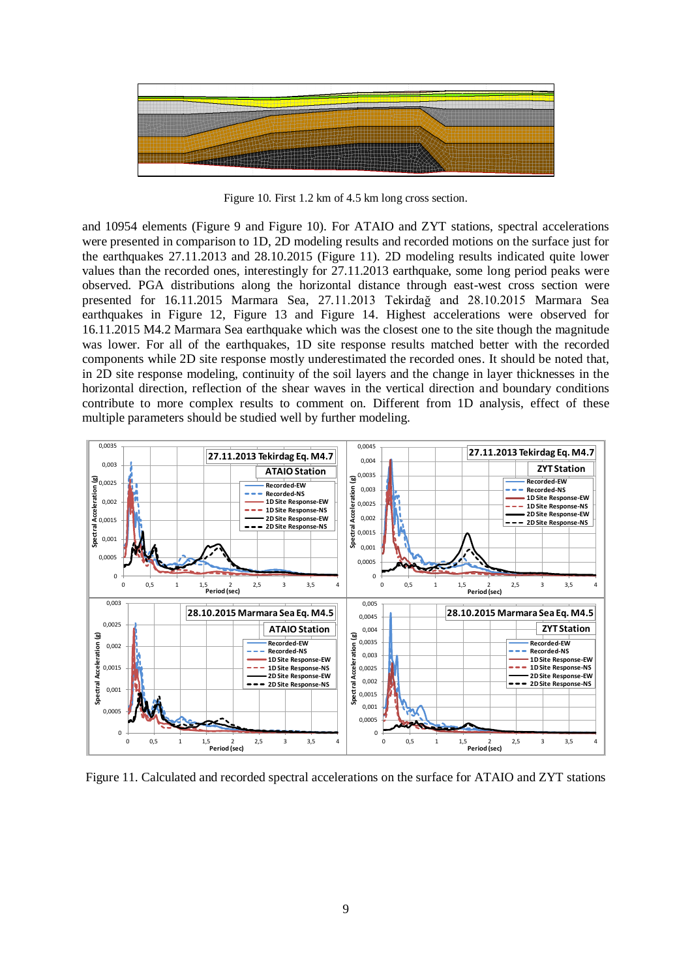

Figure 10. First 1.2 km of 4.5 km long cross section.

and 10954 elements (Figure 9 and Figure 10). For ATAIO and ZYT stations, spectral accelerations were presented in comparison to 1D, 2D modeling results and recorded motions on the surface just for the earthquakes 27.11.2013 and 28.10.2015 (Figure 11). 2D modeling results indicated quite lower values than the recorded ones, interestingly for 27.11.2013 earthquake, some long period peaks were observed. PGA distributions along the horizontal distance through east-west cross section were presented for 16.11.2015 Marmara Sea, 27.11.2013 Tekirdağ and 28.10.2015 Marmara Sea earthquakes in Figure 12, Figure 13 and Figure 14. Highest accelerations were observed for 16.11.2015 M4.2 Marmara Sea earthquake which was the closest one to the site though the magnitude was lower. For all of the earthquakes, 1D site response results matched better with the recorded components while 2D site response mostly underestimated the recorded ones. It should be noted that, in 2D site response modeling, continuity of the soil layers and the change in layer thicknesses in the horizontal direction, reflection of the shear waves in the vertical direction and boundary conditions contribute to more complex results to comment on. Different from 1D analysis, effect of these multiple parameters should be studied well by further modeling.



Figure 11. Calculated and recorded spectral accelerations on the surface for ATAIO and ZYT stations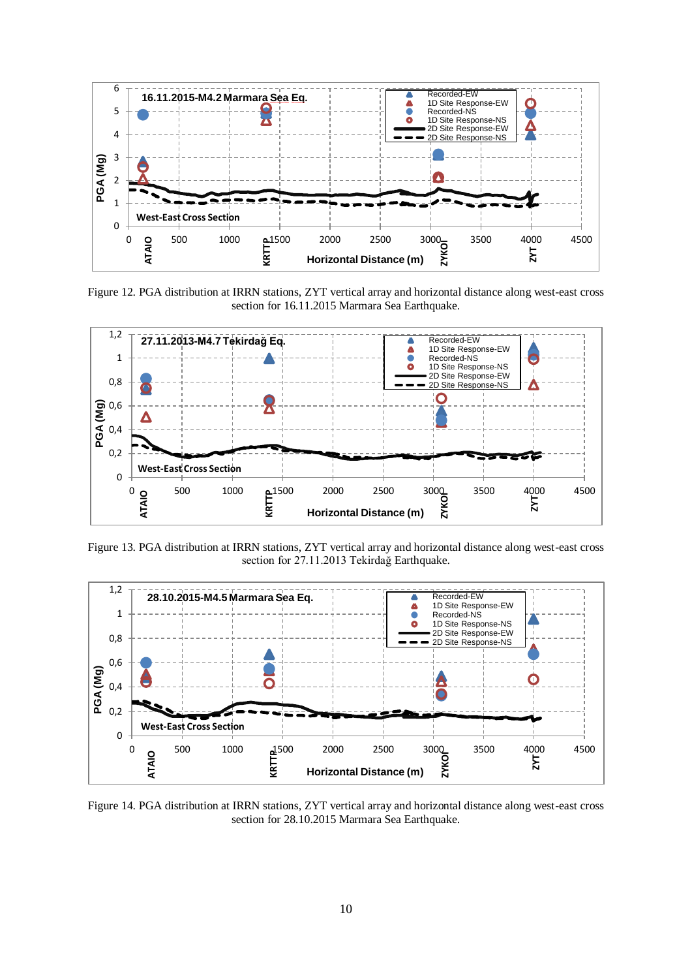

Figure 12. PGA distribution at IRRN stations, ZYT vertical array and horizontal distance along west-east cross section for 16.11.2015 Marmara Sea Earthquake.



Figure 13. PGA distribution at IRRN stations, ZYT vertical array and horizontal distance along west-east cross section for 27.11.2013 Tekirdağ Earthquake.



Figure 14. PGA distribution at IRRN stations, ZYT vertical array and horizontal distance along west-east cross section for 28.10.2015 Marmara Sea Earthquake.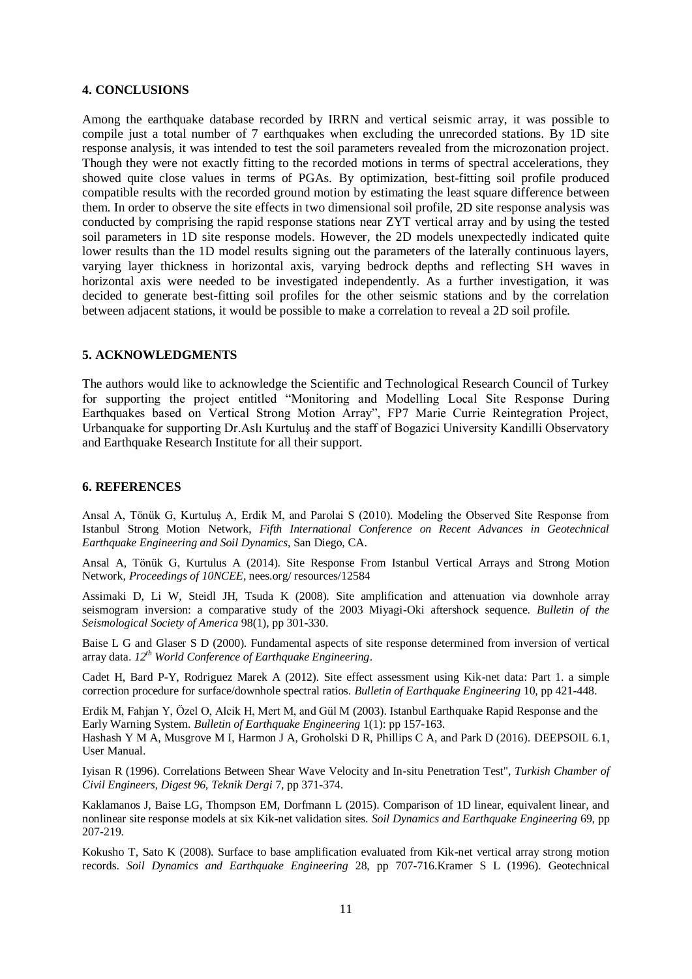## **4. CONCLUSIONS**

Among the earthquake database recorded by IRRN and vertical seismic array, it was possible to compile just a total number of 7 earthquakes when excluding the unrecorded stations. By 1D site response analysis, it was intended to test the soil parameters revealed from the microzonation project. Though they were not exactly fitting to the recorded motions in terms of spectral accelerations, they showed quite close values in terms of PGAs. By optimization, best-fitting soil profile produced compatible results with the recorded ground motion by estimating the least square difference between them. In order to observe the site effects in two dimensional soil profile, 2D site response analysis was conducted by comprising the rapid response stations near ZYT vertical array and by using the tested soil parameters in 1D site response models. However, the 2D models unexpectedly indicated quite lower results than the 1D model results signing out the parameters of the laterally continuous layers, varying layer thickness in horizontal axis, varying bedrock depths and reflecting SH waves in horizontal axis were needed to be investigated independently. As a further investigation, it was decided to generate best-fitting soil profiles for the other seismic stations and by the correlation between adjacent stations, it would be possible to make a correlation to reveal a 2D soil profile.

#### **5. ACKNOWLEDGMENTS**

The authors would like to acknowledge the Scientific and Technological Research Council of Turkey for supporting the project entitled "Monitoring and Modelling Local Site Response During Earthquakes based on Vertical Strong Motion Array", FP7 Marie Currie Reintegration Project, Urbanquake for supporting Dr.Aslı Kurtuluş and the staff of Bogazici University Kandilli Observatory and Earthquake Research Institute for all their support.

#### **6. REFERENCES**

Ansal A, Tönük G, Kurtuluş A, Erdik M, and Parolai S (2010). Modeling the Observed Site Response from Istanbul Strong Motion Network, *Fifth International Conference on Recent Advances in Geotechnical Earthquake Engineering and Soil Dynamics*, San Diego, CA.

Ansal A, Tönük G, Kurtulus A (2014). Site Response From Istanbul Vertical Arrays and Strong Motion Network, *Proceedings of 10NCEE*, nees.org/ resources/12584

Assimaki D, Li W, Steidl JH, Tsuda K (2008). Site amplification and attenuation via downhole array seismogram inversion: a comparative study of the 2003 Miyagi-Oki aftershock sequence. *Bulletin of the Seismological Society of America* 98(1), pp 301-330.

Baise L G and Glaser S D (2000). Fundamental aspects of site response determined from inversion of vertical array data. *12th World Conference of Earthquake Engineering*.

Cadet H, Bard P-Y, Rodriguez Marek A (2012). Site effect assessment using Kik-net data: Part 1. a simple correction procedure for surface/downhole spectral ratios. *Bulletin of Earthquake Engineering* 10, pp 421-448.

Erdik M, Fahjan Y, Özel O, Alcik H, Mert M, and Gül M (2003). Istanbul Earthquake Rapid Response and the Early Warning System. *Bulletin of Earthquake Engineering* 1(1): pp 157-163.

Hashash Y M A, Musgrove M I, Harmon J A, Groholski D R, Phillips C A, and Park D (2016). DEEPSOIL 6.1, User Manual.

Iyisan R (1996). Correlations Between Shear Wave Velocity and In-situ Penetration Test", *Turkish Chamber of Civil Engineers, Digest 96, Teknik Dergi* 7, pp 371-374.

Kaklamanos J, Baise LG, Thompson EM, Dorfmann L (2015). Comparison of 1D linear, equivalent linear, and nonlinear site response models at six Kik-net validation sites. *Soil Dynamics and Earthquake Engineering* 69, pp 207-219.

Kokusho T, Sato K (2008). Surface to base amplification evaluated from Kik-net vertical array strong motion records. *Soil Dynamics and Earthquake Engineering* 28, pp 707-716.Kramer S L (1996). Geotechnical